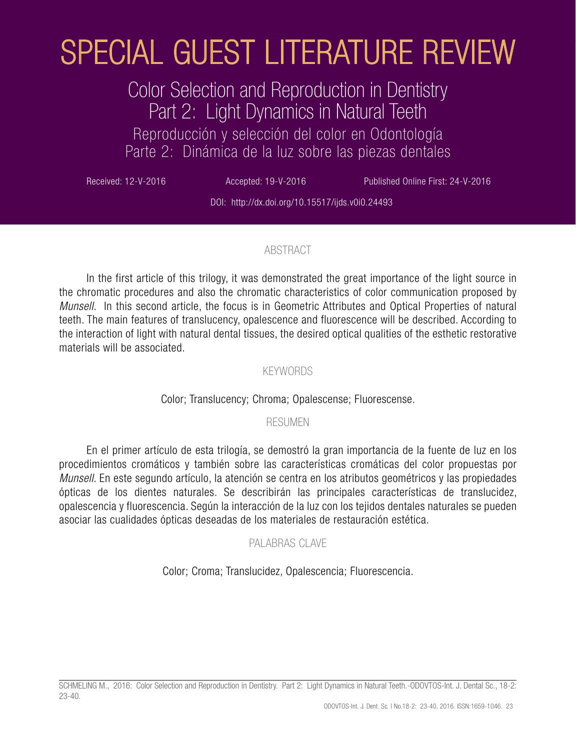# Color Selection and Reproduction in Dentistry Part 2: Light Dynamics in Natural Teeth

Reproducción y selección del color en Odontología Parte 2: Dinámica de la luz sobre las piezas dentales

Received: 12-V-2016 **Accepted: 19-V-2016** Published Online First: 24-V-2016

DOI: http://dx.doi.org/10.15517/ijds.v0i0.24493

# ABSTRACT

In the first article of this trilogy, it was demonstrated the great importance of the light source in the chromatic procedures and also the chromatic characteristics of color communication proposed by *Munsell*. In this second article, the focus is in Geometric Attributes and Optical Properties of natural teeth. The main features of translucency, opalescence and fluorescence will be described. According to the interaction of light with natural dental tissues, the desired optical qualities of the esthetic restorative materials will be associated. **ESPECIAL GUEST LITERATURE REVIEW**<br>
Color Selection and Reproduction in Dentistry<br>
Part 2: Light Dynamics in Natural Teeth<br>
Percoducción y selection el calar en Odomalogía<br>
Part 2: Light Dynamics in Natural Teeth<br>
Percodu

### KEYWORDS

# Color; Translucency; Chroma; Opalescense; Fluorescense.

#### RESUMEN

En el primer artículo de esta trilogía, se demostró la gran importancia de la fuente de luz en los procedimientos cromáticos y también sobre las características cromáticas del color propuestas por *Munsell*. En este segundo artículo, la atención se centra en los atributos geométricos y las propiedades ópticas de los dientes naturales. Se describirán las principales características de translucidez, opalescencia y fluorescencia. Según la interacción de la luz con los tejidos dentales naturales se pueden asociar las cualidades ópticas deseadas de los materiales de restauración estética.

# PALABRAS CLAVE

Color; Croma; Translucidez, Opalescencia; Fluorescencia.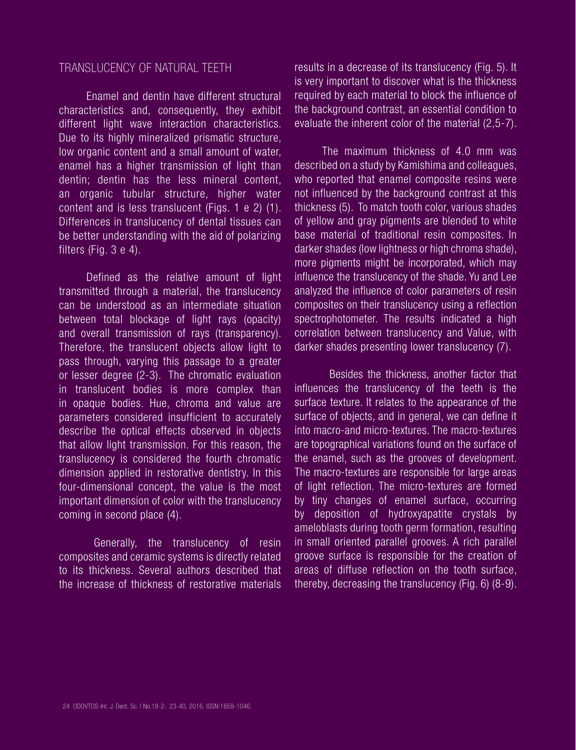#### TRANSLUCENCY OF NATURAL TEETH

Enamel and dentin have different structural characteristics and, consequently, they exhibit different light wave interaction characteristics. Due to its highly mineralized prismatic structure, low organic content and a small amount of water, enamel has a higher transmission of light than dentin; dentin has the less mineral content, an organic tubular structure, higher water content and is less translucent (Figs. 1 e 2) (1). Differences in translucency of dental tissues can be better understanding with the aid of polarizing filters (Fig. 3 e 4).

Defined as the relative amount of light transmitted through a material, the translucency can be understood as an intermediate situation between total blockage of light rays (opacity) and overall transmission of rays (transparency). Therefore, the translucent objects allow light to pass through, varying this passage to a greater or lesser degree (2-3). The chromatic evaluation in translucent bodies is more complex than in opaque bodies. Hue, chroma and value are parameters considered insufficient to accurately describe the optical effects observed in objects that allow light transmission. For this reason, the translucency is considered the fourth chromatic dimension applied in restorative dentistry. In this four-dimensional concept, the value is the most important dimension of color with the translucency coming in second place (4).

Generally, the translucency of resin composites and ceramic systems is directly related to its thickness. Several authors described that the increase of thickness of restorative materials results in a decrease of its translucency (Fig. 5). It is very important to discover what is the thickness required by each material to block the influence of the background contrast, an essential condition to evaluate the inherent color of the material (2,5-7).

The maximum thickness of 4.0 mm was described on a study by Kamishima and colleagues, who reported that enamel composite resins were not influenced by the background contrast at this thickness (5). To match tooth color, various shades of yellow and gray pigments are blended to white base material of traditional resin composites. In darker shades (low lightness or high chroma shade), more pigments might be incorporated, which may influence the translucency of the shade. Yu and Lee analyzed the influence of color parameters of resin composites on their translucency using a reflection spectrophotometer. The results indicated a high correlation between translucency and Value, with darker shades presenting lower translucency (7).

Besides the thickness, another factor that influences the translucency of the teeth is the surface texture. It relates to the appearance of the surface of objects, and in general, we can define it into macro-and micro-textures. The macro-textures are topographical variations found on the surface of the enamel, such as the grooves of development. The macro-textures are responsible for large areas of light reflection. The micro-textures are formed by tiny changes of enamel surface, occurring by deposition of hydroxyapatite crystals by ameloblasts during tooth germ formation, resulting in small oriented parallel grooves. A rich parallel groove surface is responsible for the creation of areas of diffuse reflection on the tooth surface, thereby, decreasing the translucency (Fig. 6) (8-9).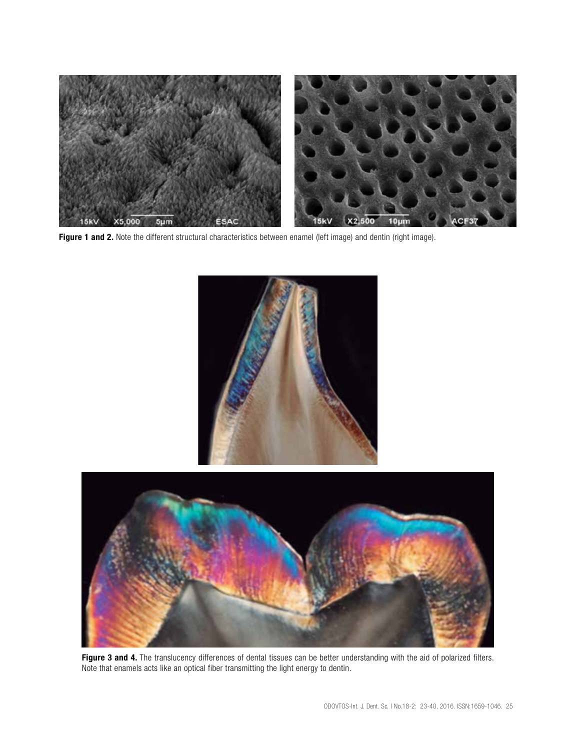

Figure 1 and 2. Note the different structural characteristics between enamel (left image) and dentin (right image).





Figure 3 and 4. The translucency differences of dental tissues can be better understanding with the aid of polarized filters. Note that enamels acts like an optical fiber transmitting the light energy to dentin.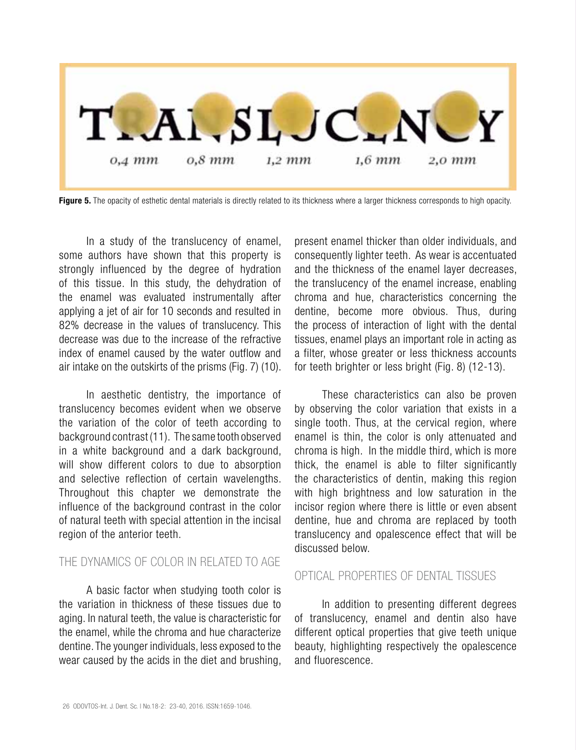

Figure 5. The opacity of esthetic dental materials is directly related to its thickness where a larger thickness corresponds to high opacity.

In a study of the translucency of enamel, some authors have shown that this property is strongly influenced by the degree of hydration of this tissue. In this study, the dehydration of the enamel was evaluated instrumentally after applying a jet of air for 10 seconds and resulted in 82% decrease in the values of translucency. This decrease was due to the increase of the refractive index of enamel caused by the water outflow and air intake on the outskirts of the prisms (Fig. 7) (10).

In aesthetic dentistry, the importance of translucency becomes evident when we observe the variation of the color of teeth according to background contrast (11). The same tooth observed in a white background and a dark background, will show different colors to due to absorption and selective reflection of certain wavelengths. Throughout this chapter we demonstrate the influence of the background contrast in the color of natural teeth with special attention in the incisal region of the anterior teeth.

# THE DYNAMICS OF COLOR IN RELATED TO AGE

A basic factor when studying tooth color is the variation in thickness of these tissues due to aging. In natural teeth, the value is characteristic for the enamel, while the chroma and hue characterize dentine. The younger individuals, less exposed to the wear caused by the acids in the diet and brushing, present enamel thicker than older individuals, and consequently lighter teeth. As wear is accentuated and the thickness of the enamel layer decreases, the translucency of the enamel increase, enabling chroma and hue, characteristics concerning the dentine, become more obvious. Thus, during the process of interaction of light with the dental tissues, enamel plays an important role in acting as a filter, whose greater or less thickness accounts for teeth brighter or less bright (Fig. 8) (12-13).

These characteristics can also be proven by observing the color variation that exists in a single tooth. Thus, at the cervical region, where enamel is thin, the color is only attenuated and chroma is high. In the middle third, which is more thick, the enamel is able to filter significantly the characteristics of dentin, making this region with high brightness and low saturation in the incisor region where there is little or even absent dentine, hue and chroma are replaced by tooth translucency and opalescence effect that will be discussed below.

#### OPTICAL PROPERTIES OF DENTAL TISSUES

In addition to presenting different degrees of translucency, enamel and dentin also have different optical properties that give teeth unique beauty, highlighting respectively the opalescence and fluorescence.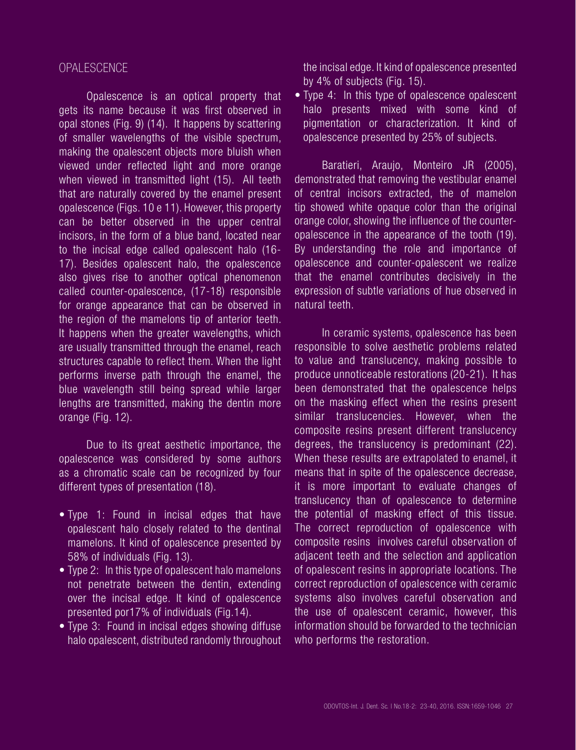#### OPALESCENCE

Opalescence is an optical property that gets its name because it was first observed in opal stones (Fig. 9) (14). It happens by scattering of smaller wavelengths of the visible spectrum, making the opalescent objects more bluish when viewed under reflected light and more orange when viewed in transmitted light (15). All teeth that are naturally covered by the enamel present opalescence (Figs. 10 e 11). However, this property can be better observed in the upper central incisors, in the form of a blue band, located near to the incisal edge called opalescent halo (16- 17). Besides opalescent halo, the opalescence also gives rise to another optical phenomenon called counter-opalescence, (17-18) responsible for orange appearance that can be observed in the region of the mamelons tip of anterior teeth. It happens when the greater wavelengths, which are usually transmitted through the enamel, reach structures capable to reflect them. When the light performs inverse path through the enamel, the blue wavelength still being spread while larger lengths are transmitted, making the dentin more orange (Fig. 12).

Due to its great aesthetic importance, the opalescence was considered by some authors as a chromatic scale can be recognized by four different types of presentation (18).

- Type 1: Found in incisal edges that have opalescent halo closely related to the dentinal mamelons. It kind of opalescence presented by 58% of individuals (Fig. 13).
- Type 2: In this type of opalescent halo mamelons not penetrate between the dentin, extending over the incisal edge. It kind of opalescence presented por17% of individuals (Fig.14).
- Type 3: Found in incisal edges showing diffuse halo opalescent, distributed randomly throughout

the incisal edge. It kind of opalescence presented by 4% of subjects (Fig. 15).

• Type 4: In this type of opalescence opalescent halo presents mixed with some kind of pigmentation or characterization. It kind of opalescence presented by 25% of subjects.

Baratieri, Araujo, Monteiro JR (2005), demonstrated that removing the vestibular enamel of central incisors extracted, the of mamelon tip showed white opaque color than the original orange color, showing the influence of the counteropalescence in the appearance of the tooth (19). By understanding the role and importance of opalescence and counter-opalescent we realize that the enamel contributes decisively in the expression of subtle variations of hue observed in natural teeth.

In ceramic systems, opalescence has been responsible to solve aesthetic problems related to value and translucency, making possible to produce unnoticeable restorations (20-21). It has been demonstrated that the opalescence helps on the masking effect when the resins present similar translucencies. However, when the composite resins present different translucency degrees, the translucency is predominant (22). When these results are extrapolated to enamel, it means that in spite of the opalescence decrease, it is more important to evaluate changes of translucency than of opalescence to determine the potential of masking effect of this tissue. The correct reproduction of opalescence with composite resins involves careful observation of adjacent teeth and the selection and application of opalescent resins in appropriate locations. The correct reproduction of opalescence with ceramic systems also involves careful observation and the use of opalescent ceramic, however, this information should be forwarded to the technician who performs the restoration.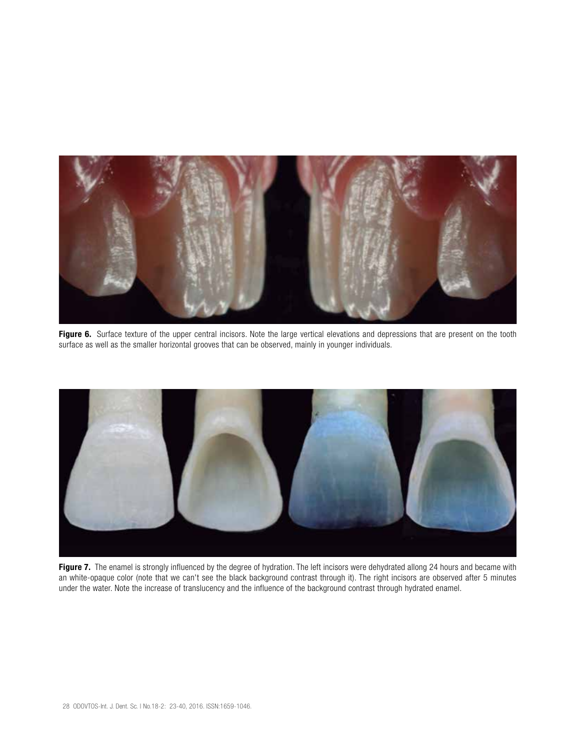

Figure 6. Surface texture of the upper central incisors. Note the large vertical elevations and depressions that are present on the tooth surface as well as the smaller horizontal grooves that can be observed, mainly in younger individuals.



Figure 7. The enamel is strongly influenced by the degree of hydration. The left incisors were dehydrated allong 24 hours and became with an white-opaque color (note that we can't see the black background contrast through it). The right incisors are observed after 5 minutes under the water. Note the increase of translucency and the influence of the background contrast through hydrated enamel.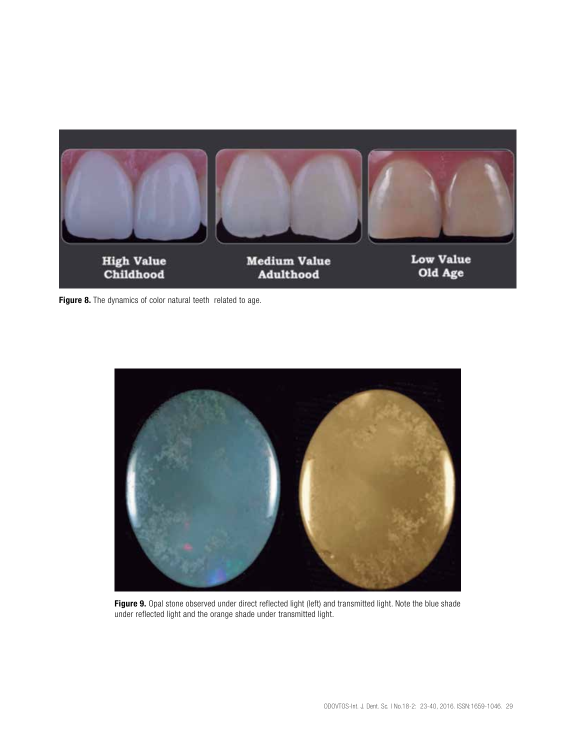

Figure 8. The dynamics of color natural teeth related to age.



Figure 9. Opal stone observed under direct reflected light (left) and transmitted light. Note the blue shade under reflected light and the orange shade under transmitted light.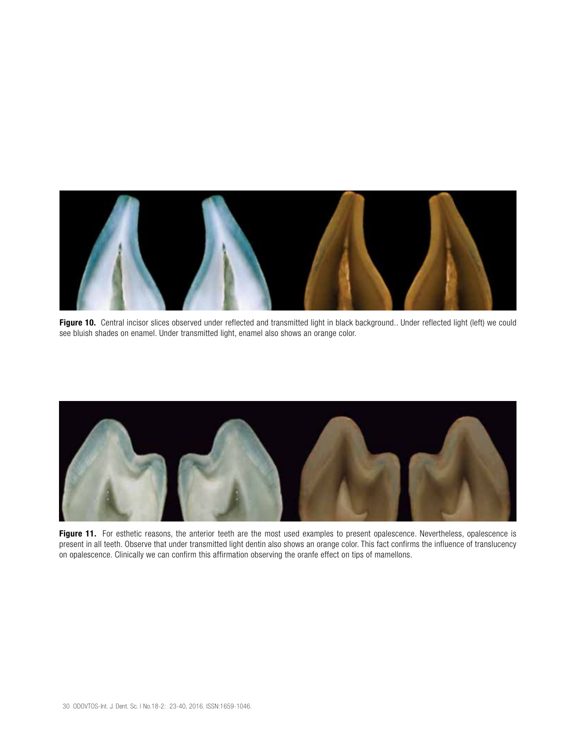

Figure 10. Central incisor slices observed under reflected and transmitted light in black background.. Under reflected light (left) we could see bluish shades on enamel. Under transmitted light, enamel also shows an orange color.



Figure 11. For esthetic reasons, the anterior teeth are the most used examples to present opalescence. Nevertheless, opalescence is present in all teeth. Observe that under transmitted light dentin also shows an orange color. This fact confirms the influence of translucency on opalescence. Clinically we can confirm this affirmation observing the oranfe effect on tips of mamellons.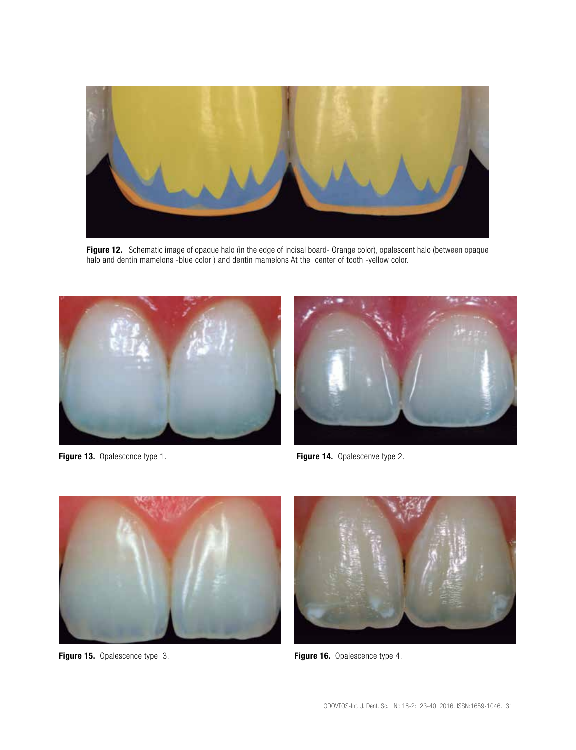

Figure 12. Schematic image of opaque halo (in the edge of incisal board- Orange color), opalescent halo (between opaque halo and dentin mamelons -blue color ) and dentin mamelons At the center of tooth -yellow color.



Figure 13. Opalesccnce type 1. The set of the set of the Figure 14. Opalescenve type 2.





Figure 15. Opalescence type 3. The set of the set of the set of the set of the set of the set of the set of the set of the set of the set of the set of the set of the set of the set of the set of the set of the set of the

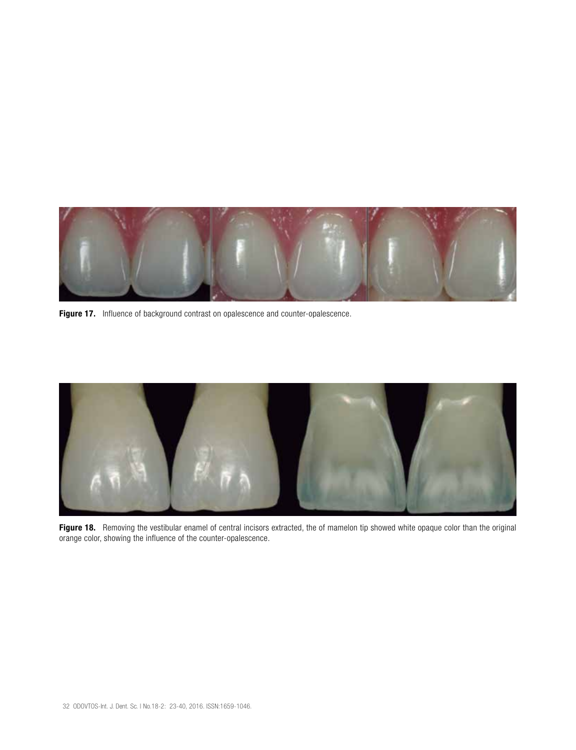

Figure 17. Influence of background contrast on opalescence and counter-opalescence.



Figure 18. Removing the vestibular enamel of central incisors extracted, the of mamelon tip showed white opaque color than the original orange color, showing the influence of the counter-opalescence.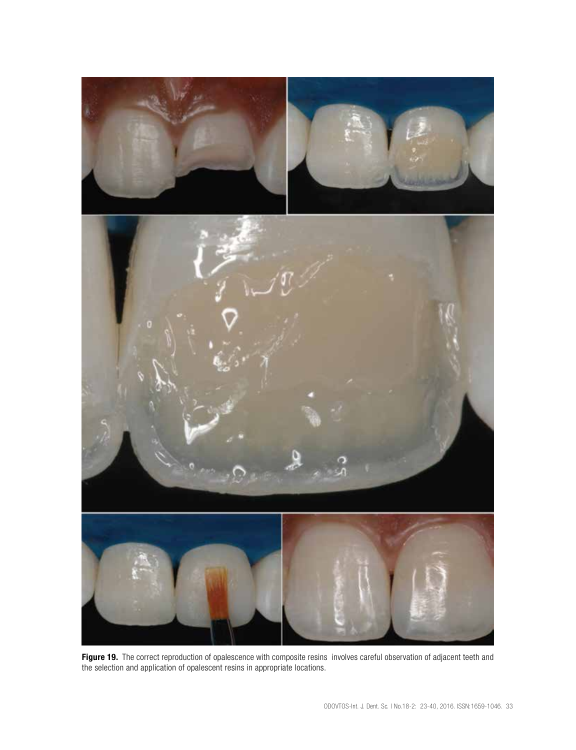

Figure 19. The correct reproduction of opalescence with composite resins involves careful observation of adjacent teeth and the selection and application of opalescent resins in appropriate locations.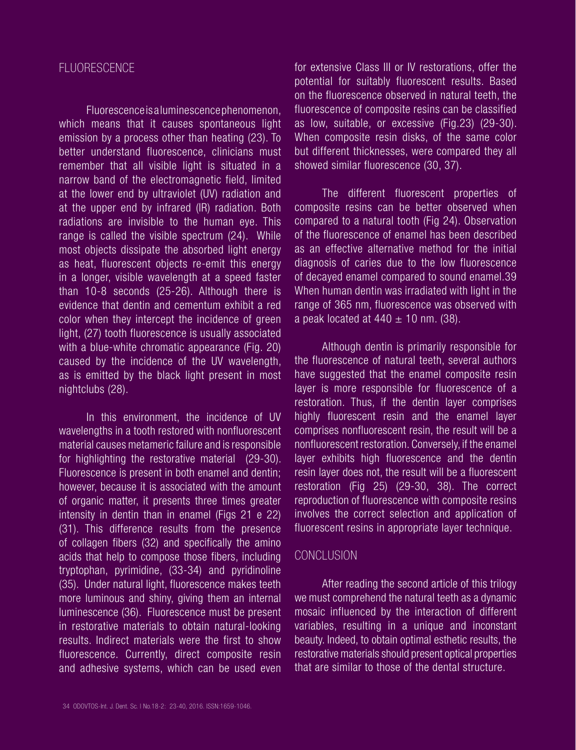#### FLUORESCENCE

Fluorescence is a luminescence phenomenon, which means that it causes spontaneous light emission by a process other than heating (23). To better understand fluorescence, clinicians must remember that all visible light is situated in a narrow band of the electromagnetic field, limited at the lower end by ultraviolet (UV) radiation and at the upper end by infrared (IR) radiation. Both radiations are invisible to the human eye. This range is called the visible spectrum (24). While most objects dissipate the absorbed light energy as heat, fluorescent objects re-emit this energy in a longer, visible wavelength at a speed faster than 10-8 seconds (25-26). Although there is evidence that dentin and cementum exhibit a red color when they intercept the incidence of green light, (27) tooth fluorescence is usually associated with a blue-white chromatic appearance (Fig. 20) caused by the incidence of the UV wavelength, as is emitted by the black light present in most nightclubs (28).

In this environment, the incidence of UV wavelengths in a tooth restored with nonfluorescent material causes metameric failure and is responsible for highlighting the restorative material (29-30). Fluorescence is present in both enamel and dentin; however, because it is associated with the amount of organic matter, it presents three times greater intensity in dentin than in enamel (Figs 21 e 22) (31). This difference results from the presence of collagen fibers (32) and specifically the amino acids that help to compose those fibers, including tryptophan, pyrimidine, (33-34) and pyridinoline (35). Under natural light, fluorescence makes teeth more luminous and shiny, giving them an internal luminescence (36). Fluorescence must be present in restorative materials to obtain natural-looking results. Indirect materials were the first to show fluorescence. Currently, direct composite resin and adhesive systems, which can be used even for extensive Class III or IV restorations, offer the potential for suitably fluorescent results. Based on the fluorescence observed in natural teeth, the fluorescence of composite resins can be classified as low, suitable, or excessive (Fig.23) (29-30). When composite resin disks, of the same color but different thicknesses, were compared they all showed similar fluorescence (30, 37).

The different fluorescent properties of composite resins can be better observed when compared to a natural tooth (Fig 24). Observation of the fluorescence of enamel has been described as an effective alternative method for the initial diagnosis of caries due to the low fluorescence of decayed enamel compared to sound enamel.39 When human dentin was irradiated with light in the range of 365 nm, fluorescence was observed with a peak located at  $440 \pm 10$  nm. (38).

Although dentin is primarily responsible for the fluorescence of natural teeth, several authors have suggested that the enamel composite resin layer is more responsible for fluorescence of a restoration. Thus, if the dentin layer comprises highly fluorescent resin and the enamel layer comprises nonfluorescent resin, the result will be a nonfluorescent restoration. Conversely, if the enamel layer exhibits high fluorescence and the dentin resin layer does not, the result will be a fluorescent restoration (Fig 25) (29-30, 38). The correct reproduction of fluorescence with composite resins involves the correct selection and application of fluorescent resins in appropriate layer technique.

#### **CONCLUSION**

After reading the second article of this trilogy we must comprehend the natural teeth as a dynamic mosaic influenced by the interaction of different variables, resulting in a unique and inconstant beauty. Indeed, to obtain optimal esthetic results, the restorative materials should present optical properties that are similar to those of the dental structure.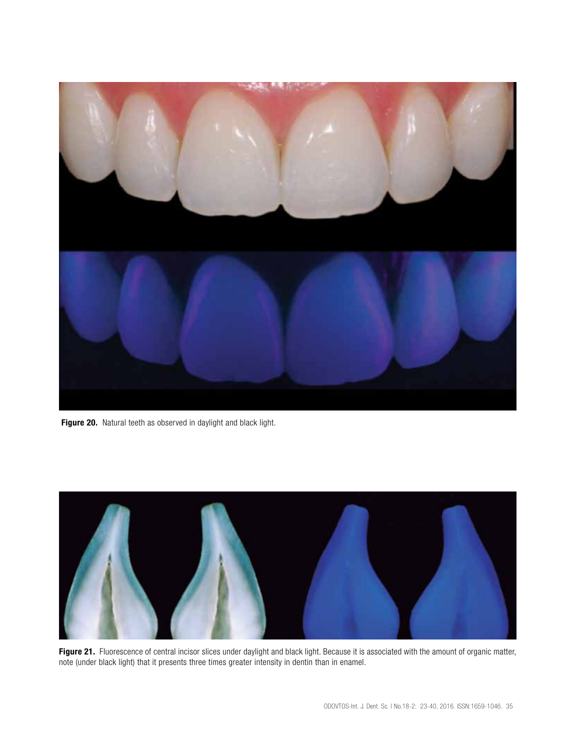

Figure 20. Natural teeth as observed in daylight and black light.



Figure 21. Fluorescence of central incisor slices under daylight and black light. Because it is associated with the amount of organic matter, note (under black light) that it presents three times greater intensity in dentin than in enamel.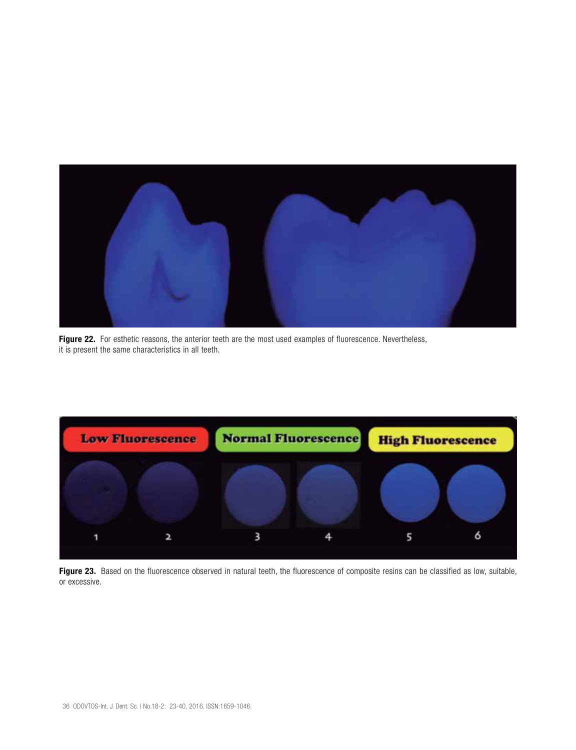

Figure 22. For esthetic reasons, the anterior teeth are the most used examples of fluorescence. Nevertheless, it is present the same characteristics in all teeth.



Figure 23. Based on the fluorescence observed in natural teeth, the fluorescence of composite resins can be classified as low, suitable, or excessive.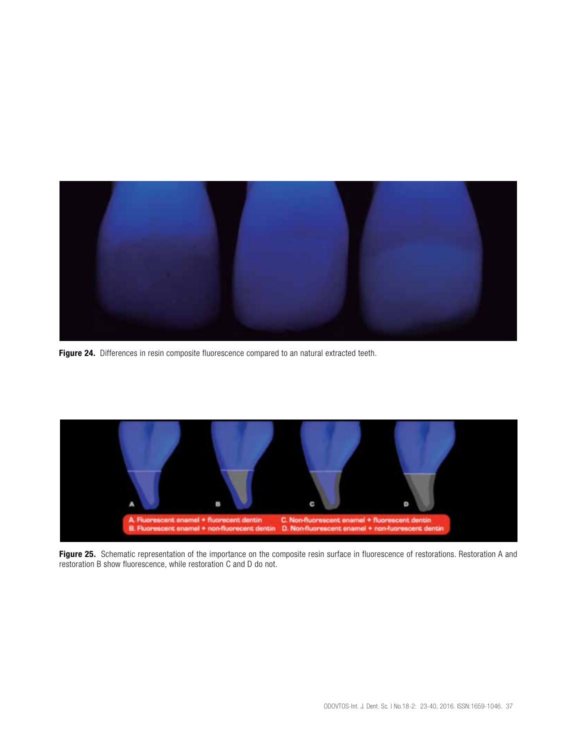

Figure 24. Differences in resin composite fluorescence compared to an natural extracted teeth.



Figure 25. Schematic representation of the importance on the composite resin surface in fluorescence of restorations. Restoration A and restoration B show fluorescence, while restoration C and D do not.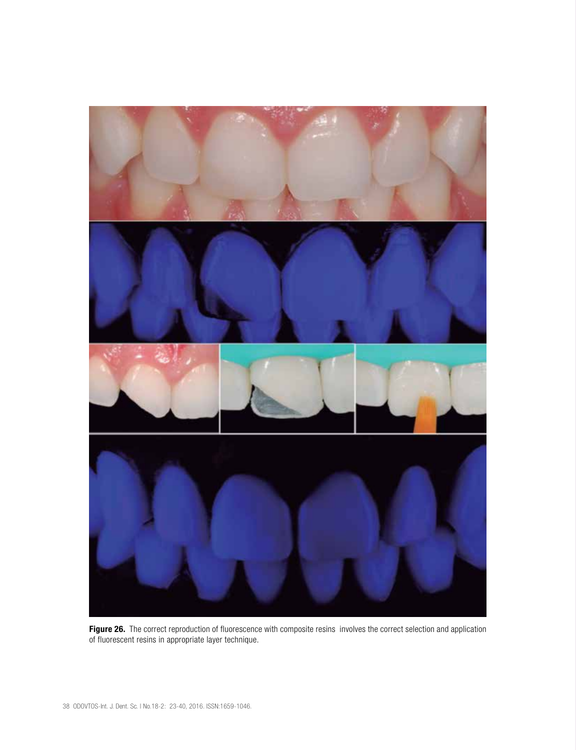

Figure 26. The correct reproduction of fluorescence with composite resins involves the correct selection and application of fluorescent resins in appropriate layer technique.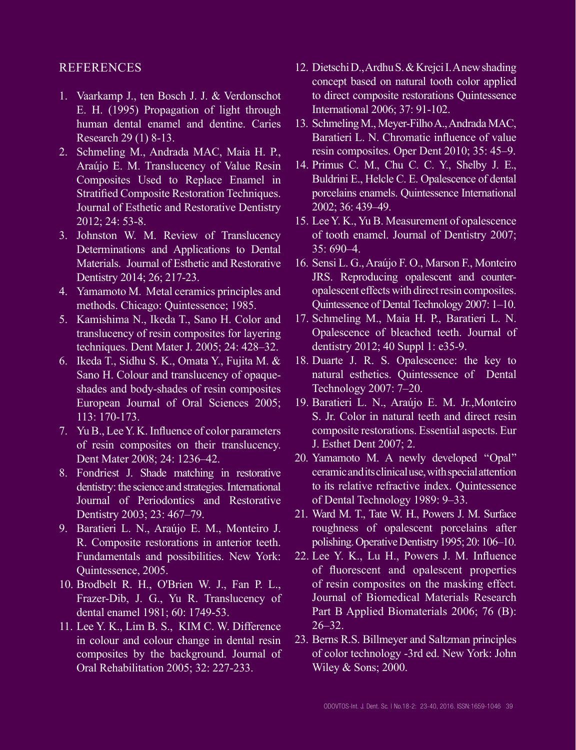#### REFERENCES

- 1. Vaarkamp J., ten Bosch J. J. & Verdonschot E. H. (1995) Propagation of light through human dental enamel and dentine. Caries Research 29 (1) 8-13.
- 2. Schmeling M., Andrada MAC, Maia H. P., Araújo E. M. Translucency of Value Resin Composites Used to Replace Enamel in Stratified Composite Restoration Techniques. Journal of Esthetic and Restorative Dentistry 2012; 24: 53-8.
- 3. Johnston W. M. Review of Translucency Determinations and Applications to Dental Materials. Journal of Esthetic and Restorative Dentistry 2014; 26; 217-23.
- 4. Yamamoto M. Metal ceramics principles and methods. Chicago: Quintessence; 1985.
- 5. Kamishima N., Ikeda T., Sano H. Color and translucency of resin composites for layering techniques. Dent Mater J. 2005; 24: 428–32.
- 6. Ikeda T., Sidhu S. K., Omata Y., Fujita M. & Sano H. Colour and translucency of opaqueshades and body-shades of resin composites European Journal of Oral Sciences 2005; 113: 170-173.
- 7. Yu B., Lee Y. K. Influence of color parameters of resin composites on their translucency. Dent Mater 2008; 24: 1236–42.
- 8. Fondriest J. Shade matching in restorative dentistry: the science and strategies. International Journal of Periodontics and Restorative Dentistry 2003; 23: 467–79.
- 9. Baratieri L. N., Araújo E. M., Monteiro J. R. Composite restorations in anterior teeth. Fundamentals and possibilities. New York: Quintessence, 2005.
- 10. Brodbelt R. H., O'Brien W. J., Fan P. L., Frazer-Dib, J. G., Yu R. Translucency of dental enamel 1981; 60: 1749-53.
- 11. Lee Y. K., Lim B. S., KIM C. W. Difference in colour and colour change in dental resin composites by the background. Journal of Oral Rehabilitation 2005; 32: 227-233.
- 12. Dietschi D., Ardhu S. & Krejci I. A new shading concept based on natural tooth color applied to direct composite restorations Quintessence International 2006; 37: 91-102.
- 13. Schmeling M., Meyer-Filho A., Andrada MAC, Baratieri L. N. Chromatic influence of value resin composites. Oper Dent 2010; 35: 45–9.
- 14. Primus C. M., Chu C. C. Y., Shelby J. E., Buldrini E., Helcle C. E. Opalescence of dental porcelains enamels. Quintessence International 2002; 36: 439–49.
- 15. Lee Y. K., Yu B. Measurement of opalescence of tooth enamel. Journal of Dentistry 2007; 35: 690–4.
- 16. Sensi L. G., Araújo F. O., Marson F., Monteiro JRS. Reproducing opalescent and counteropalescent effects with direct resin composites. Quintessence of Dental Technology 2007: 1–10.
- 17. Schmeling M., Maia H. P., Baratieri L. N. Opalescence of bleached teeth. Journal of dentistry 2012; 40 Suppl 1: e35-9.
- 18. Duarte J. R. S. Opalescence: the key to natural esthetics. Quintessence of Dental Technology 2007: 7–20.
- 19. Baratieri L. N., Araújo E. M. Jr.,Monteiro S. Jr. Color in natural teeth and direct resin composite restorations. Essential aspects. Eur J. Esthet Dent 2007; 2.
- 20. Yamamoto M. A newly developed ''Opal'' ceramic and its clinical use, with special attention to its relative refractive index. Quintessence of Dental Technology 1989: 9–33.
- 21. Ward M. T., Tate W. H., Powers J. M. Surface roughness of opalescent porcelains after polishing. Operative Dentistry 1995; 20: 106–10.
- 22. Lee Y. K., Lu H., Powers J. M. Influence of fluorescent and opalescent properties of resin composites on the masking effect. Journal of Biomedical Materials Research Part B Applied Biomaterials 2006; 76 (B):  $26 - 32$ .
- 23. Berns R.S. Billmeyer and Saltzman principles of color technology -3rd ed. New York: John Wiley & Sons; 2000.